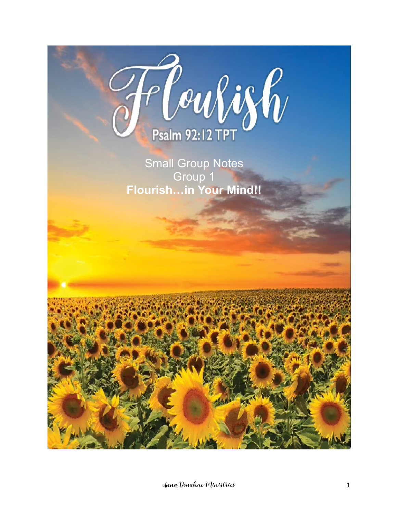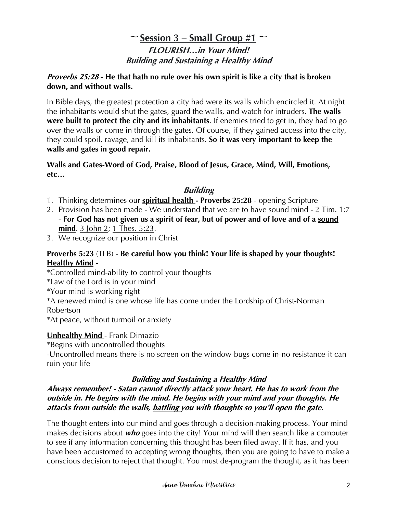# $\sim$  Session 3 – Small Group #1  $\sim$ **FLOURISH…in Your Mind! Building and Sustaining a Healthy Mind**

#### **Proverbs 25:28** - **He that hath no rule over his own spirit is like a city that is broken down, and without walls.**

In Bible days, the greatest protection a city had were its walls which encircled it. At night the inhabitants would shut the gates, guard the walls, and watch for intruders. **The walls were built to protect the city and its inhabitants**. If enemies tried to get in, they had to go over the walls or come in through the gates. Of course, if they gained access into the city, they could spoil, ravage, and kill its inhabitants. **So it was very important to keep the walls and gates in good repair.**

#### **Walls and Gates-Word of God, Praise, Blood of Jesus, Grace, Mind, Will, Emotions, etc…**

# **Building**

- 1. Thinking determines our **spiritual health - Proverbs 25:28** opening Scripture
- 2. Provision has been made We understand that we are to have sound mind 2 Tim. 1:7 - **For God has not given us a spirit of fear, but of power and of love and of a sound mind.** 3 John 2: 1 Thes. 5:23.
- 3. We recognize our position in Christ

#### **Proverbs 5:23** (TLB) - **Be careful how you think! Your life is shaped by your thoughts! Healthy Mind** -

\*Controlled mind-ability to control your thoughts

\*Law of the Lord is in your mind

- \*Your mind is working right
- \*A renewed mind is one whose life has come under the Lordship of Christ-Norman Robertson

\*At peace, without turmoil or anxiety

## **Unhealthy Mind** - Frank Dimazio

\*Begins with uncontrolled thoughts

-Uncontrolled means there is no screen on the window-bugs come in-no resistance-it can ruin your life

## **Building and Sustaining a Healthy Mind**

#### **Always remember! - Satan cannot directly attack your heart. He has to work from the outside in. He begins with the mind. He begins with your mind and your thoughts. He attacks from outside the walls, battling you with thoughts so you'll open the gate.**

The thought enters into our mind and goes through a decision-making process. Your mind makes decisions about **who** goes into the city! Your mind will then search like a computer to see if any information concerning this thought has been filed away. If it has, and you have been accustomed to accepting wrong thoughts, then you are going to have to make a conscious decision to reject that thought. You must de-program the thought, as it has been